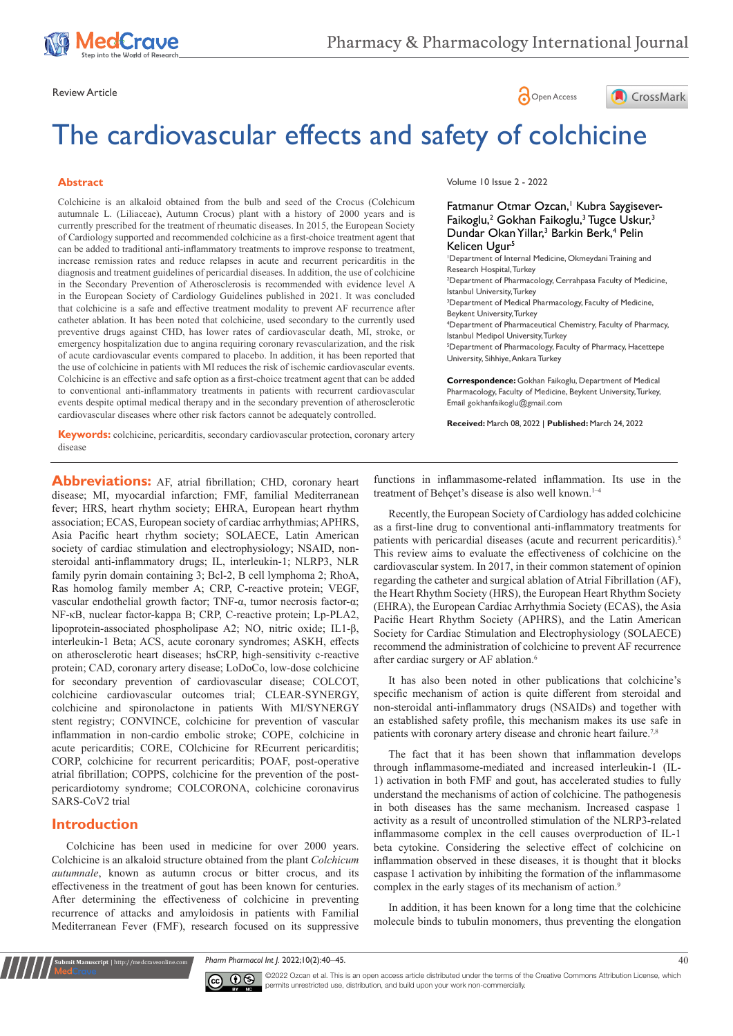





# The cardiovascular effects and safety of colchicine

#### **Abstract**

Colchicine is an alkaloid obtained from the bulb and seed of the Crocus (Colchicum autumnale L. (Liliaceae), Autumn Crocus) plant with a history of 2000 years and is currently prescribed for the treatment of rheumatic diseases. In 2015, the European Society of Cardiology supported and recommended colchicine as a first-choice treatment agent that can be added to traditional anti-inflammatory treatments to improve response to treatment, increase remission rates and reduce relapses in acute and recurrent pericarditis in the diagnosis and treatment guidelines of pericardial diseases. In addition, the use of colchicine in the Secondary Prevention of Atherosclerosis is recommended with evidence level A in the European Society of Cardiology Guidelines published in 2021. It was concluded that colchicine is a safe and effective treatment modality to prevent AF recurrence after catheter ablation. It has been noted that colchicine, used secondary to the currently used preventive drugs against CHD, has lower rates of cardiovascular death, MI, stroke, or emergency hospitalization due to angina requiring coronary revascularization, and the risk of acute cardiovascular events compared to placebo. In addition, it has been reported that the use of colchicine in patients with MI reduces the risk of ischemic cardiovascular events. Colchicine is an effective and safe option as a first-choice treatment agent that can be added to conventional anti-inflammatory treatments in patients with recurrent cardiovascular events despite optimal medical therapy and in the secondary prevention of atherosclerotic cardiovascular diseases where other risk factors cannot be adequately controlled.

Volume 10 Issue 2 - 2022

#### Fatmanur Otmar Ozcan,<sup>1</sup> Kubra Saygisever-Faikoglu,<sup>2</sup> Gokhan Faikoglu,<sup>3</sup> Tugce Uskur,<sup>3</sup> Dundar Okan Yillar,<sup>3</sup> Barkin Berk,<sup>4</sup> Pelin Kelicen Ugur<sup>5</sup>

1 Department of Internal Medicine, Okmeydani Training and Research Hospital, Turkey 2 Department of Pharmacology, Cerrahpasa Faculty of Medicine, Istanbul University, Turkey <sup>3</sup>Department of Medical Pharmacology, Faculty of Medicine, Beykent University, Turkey 4 Department of Pharmaceutical Chemistry, Faculty of Pharmacy, Istanbul Medipol University, Turkey 5 Department of Pharmacology, Faculty of Pharmacy, Hacettepe University, Sihhiye, Ankara Turkey

**Correspondence:** Gokhan Faikoglu, Department of Medical Pharmacology, Faculty of Medicine, Beykent University, Turkey, Email gokhanfaikoglu@gmail.com

**Received:** March 08, 2022 | **Published:** March 24, 2022

**Keywords:** colchicine, pericarditis, secondary cardiovascular protection, coronary artery disease

Abbreviations: AF, atrial fibrillation; CHD, coronary heart disease; MI, myocardial infarction; FMF, familial Mediterranean fever; HRS, heart rhythm society; EHRA, European heart rhythm association; ECAS, European society of cardiac arrhythmias; APHRS, Asia Pacific heart rhythm society; SOLAECE, Latin American society of cardiac stimulation and electrophysiology; NSAID, nonsteroidal anti-inflammatory drugs; IL, interleukin-1; NLRP3, NLR family pyrin domain containing 3; Bcl-2, B cell lymphoma 2; RhoA, Ras homolog family member A; CRP, C-reactive protein; VEGF, vascular endothelial growth factor; TNF-α, tumor necrosis factor-α; NF-κB, nuclear factor-kappa B; CRP, C-reactive protein; Lp-PLA2, lipoprotein-associated phospholipase A2; NO, nitric oxide; IL1-β, interleukin-1 Beta; ACS, acute coronary syndromes; ASKH, effects on atherosclerotic heart diseases; hsCRP, high-sensitivity c-reactive protein; CAD, coronary artery disease; LoDoCo, low-dose colchicine for secondary prevention of cardiovascular disease; COLCOT, colchicine cardiovascular outcomes trial; CLEAR-SYNERGY, colchicine and spironolactone in patients With MI/SYNERGY stent registry; CONVINCE, colchicine for prevention of vascular inflammation in non-cardio embolic stroke; COPE, colchicine in acute pericarditis; CORE, COlchicine for REcurrent pericarditis; CORP, colchicine for recurrent pericarditis; POAF, post-operative atrial fibrillation; COPPS, colchicine for the prevention of the postpericardiotomy syndrome; COLCORONA, colchicine coronavirus SARS-CoV2 trial

# **Introduction**

**it Manuscript** | http://medcraveonline.co

Colchicine has been used in medicine for over 2000 years. Colchicine is an alkaloid structure obtained from the plant *Colchicum autumnale*, known as autumn crocus or bitter crocus, and its effectiveness in the treatment of gout has been known for centuries. After determining the effectiveness of colchicine in preventing recurrence of attacks and amyloidosis in patients with Familial Mediterranean Fever (FMF), research focused on its suppressive

functions in inflammasome-related inflammation. Its use in the treatment of Behçet's disease is also well known.<sup>1-4</sup>

Recently, the European Society of Cardiology has added colchicine as a first-line drug to conventional anti-inflammatory treatments for patients with pericardial diseases (acute and recurrent pericarditis).<sup>5</sup> This review aims to evaluate the effectiveness of colchicine on the cardiovascular system. In 2017, in their common statement of opinion regarding the catheter and surgical ablation of Atrial Fibrillation (AF), the Heart Rhythm Society (HRS), the European Heart Rhythm Society (EHRA), the European Cardiac Arrhythmia Society (ECAS), the Asia Pacific Heart Rhythm Society (APHRS), and the Latin American Society for Cardiac Stimulation and Electrophysiology (SOLAECE) recommend the administration of colchicine to prevent AF recurrence after cardiac surgery or AF ablation.<sup>6</sup>

It has also been noted in other publications that colchicine's specific mechanism of action is quite different from steroidal and non-steroidal anti-inflammatory drugs (NSAIDs) and together with an established safety profile, this mechanism makes its use safe in patients with coronary artery disease and chronic heart failure.<sup>7,8</sup>

The fact that it has been shown that inflammation develops through inflammasome-mediated and increased interleukin-1 (IL-1) activation in both FMF and gout, has accelerated studies to fully understand the mechanisms of action of colchicine. The pathogenesis in both diseases has the same mechanism. Increased caspase 1 activity as a result of uncontrolled stimulation of the NLRP3-related inflammasome complex in the cell causes overproduction of IL-1 beta cytokine. Considering the selective effect of colchicine on inflammation observed in these diseases, it is thought that it blocks caspase 1 activation by inhibiting the formation of the inflammasome complex in the early stages of its mechanism of action.<sup>9</sup>

In addition, it has been known for a long time that the colchicine molecule binds to tubulin monomers, thus preventing the elongation

*Pharm Pharmacol Int J.* 2022;10(2):40‒45. 40



 $\overline{\mathbf{c}}$   $\overline{\mathbf{c}}$   $\odot$   $\odot$   $\odot$   $\odot$   $\odot$   $\odot$   $\odot$   $\odot$   $\odot$  and the is an open access article distributed under the terms of the [Creative Commons Attribution License,](https://creativecommons.org/licenses/by-nc/4.0/) which permits unrestricted use, distribution, and build upon your work non-commercially.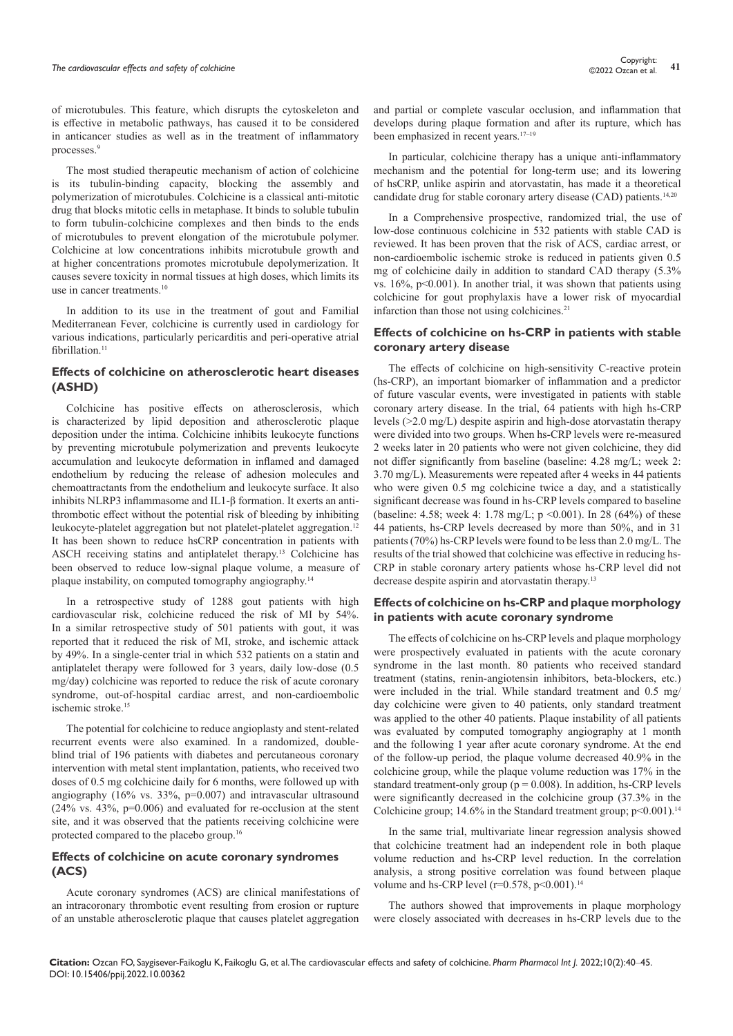of microtubules. This feature, which disrupts the cytoskeleton and is effective in metabolic pathways, has caused it to be considered in anticancer studies as well as in the treatment of inflammatory processes.<sup>9</sup>

The most studied therapeutic mechanism of action of colchicine is its tubulin-binding capacity, blocking the assembly and polymerization of microtubules. Colchicine is a classical anti-mitotic drug that blocks mitotic cells in metaphase. It binds to soluble tubulin to form tubulin-colchicine complexes and then binds to the ends of microtubules to prevent elongation of the microtubule polymer. Colchicine at low concentrations inhibits microtubule growth and at higher concentrations promotes microtubule depolymerization. It causes severe toxicity in normal tissues at high doses, which limits its use in cancer treatments.<sup>10</sup>

In addition to its use in the treatment of gout and Familial Mediterranean Fever, colchicine is currently used in cardiology for various indications, particularly pericarditis and peri-operative atrial fibrillation.<sup>11</sup>

### **Effects of colchicine on atherosclerotic heart diseases (ASHD)**

Colchicine has positive effects on atherosclerosis, which is characterized by lipid deposition and atherosclerotic plaque deposition under the intima. Colchicine inhibits leukocyte functions by preventing microtubule polymerization and prevents leukocyte accumulation and leukocyte deformation in inflamed and damaged endothelium by reducing the release of adhesion molecules and chemoattractants from the endothelium and leukocyte surface. It also inhibits NLRP3 inflammasome and IL1-β formation. It exerts an antithrombotic effect without the potential risk of bleeding by inhibiting leukocyte-platelet aggregation but not platelet-platelet aggregation.12 It has been shown to reduce hsCRP concentration in patients with ASCH receiving statins and antiplatelet therapy.13 Colchicine has been observed to reduce low-signal plaque volume, a measure of plaque instability, on computed tomography angiography.14

In a retrospective study of 1288 gout patients with high cardiovascular risk, colchicine reduced the risk of MI by 54%. In a similar retrospective study of 501 patients with gout, it was reported that it reduced the risk of MI, stroke, and ischemic attack by 49%. In a single-center trial in which 532 patients on a statin and antiplatelet therapy were followed for 3 years, daily low-dose (0.5 mg/day) colchicine was reported to reduce the risk of acute coronary syndrome, out-of-hospital cardiac arrest, and non-cardioembolic ischemic stroke.15

The potential for colchicine to reduce angioplasty and stent-related recurrent events were also examined. In a randomized, doubleblind trial of 196 patients with diabetes and percutaneous coronary intervention with metal stent implantation, patients, who received two doses of 0.5 mg colchicine daily for 6 months, were followed up with angiography (16% vs. 33%, p=0.007) and intravascular ultrasound  $(24\% \text{ vs. } 43\%, \text{ p=0.006})$  and evaluated for re-occlusion at the stent site, and it was observed that the patients receiving colchicine were protected compared to the placebo group.<sup>16</sup>

### **Effects of colchicine on acute coronary syndromes (ACS)**

Acute coronary syndromes (ACS) are clinical manifestations of an intracoronary thrombotic event resulting from erosion or rupture of an unstable atherosclerotic plaque that causes platelet aggregation

and partial or complete vascular occlusion, and inflammation that develops during plaque formation and after its rupture, which has been emphasized in recent years.17–19

In particular, colchicine therapy has a unique anti-inflammatory mechanism and the potential for long-term use; and its lowering of hsCRP, unlike aspirin and atorvastatin, has made it a theoretical candidate drug for stable coronary artery disease (CAD) patients.14,20

In a Comprehensive prospective, randomized trial, the use of low-dose continuous colchicine in 532 patients with stable CAD is reviewed. It has been proven that the risk of ACS, cardiac arrest, or non-cardioembolic ischemic stroke is reduced in patients given 0.5 mg of colchicine daily in addition to standard CAD therapy (5.3% vs.  $16\%$ ,  $p<0.001$ ). In another trial, it was shown that patients using colchicine for gout prophylaxis have a lower risk of myocardial infarction than those not using colchicines.<sup>21</sup>

# **Effects of colchicine on hs-CRP in patients with stable coronary artery disease**

The effects of colchicine on high-sensitivity C-reactive protein (hs-CRP), an important biomarker of inflammation and a predictor of future vascular events, were investigated in patients with stable coronary artery disease. In the trial, 64 patients with high hs-CRP levels (>2.0 mg/L) despite aspirin and high-dose atorvastatin therapy were divided into two groups. When hs-CRP levels were re-measured 2 weeks later in 20 patients who were not given colchicine, they did not differ significantly from baseline (baseline: 4.28 mg/L; week 2: 3.70 mg/L). Measurements were repeated after 4 weeks in 44 patients who were given 0.5 mg colchicine twice a day, and a statistically significant decrease was found in hs-CRP levels compared to baseline (baseline: 4.58; week 4: 1.78 mg/L; p <0.001). In 28 (64%) of these 44 patients, hs-CRP levels decreased by more than 50%, and in 31 patients (70%) hs-CRP levels were found to be less than 2.0 mg/L. The results of the trial showed that colchicine was effective in reducing hs-CRP in stable coronary artery patients whose hs-CRP level did not decrease despite aspirin and atorvastatin therapy.<sup>13</sup>

# **Effects of colchicine on hs-CRP and plaque morphology in patients with acute coronary syndrome**

The effects of colchicine on hs-CRP levels and plaque morphology were prospectively evaluated in patients with the acute coronary syndrome in the last month. 80 patients who received standard treatment (statins, renin-angiotensin inhibitors, beta-blockers, etc.) were included in the trial. While standard treatment and 0.5 mg/ day colchicine were given to 40 patients, only standard treatment was applied to the other 40 patients. Plaque instability of all patients was evaluated by computed tomography angiography at 1 month and the following 1 year after acute coronary syndrome. At the end of the follow-up period, the plaque volume decreased 40.9% in the colchicine group, while the plaque volume reduction was 17% in the standard treatment-only group ( $p = 0.008$ ). In addition, hs-CRP levels were significantly decreased in the colchicine group (37.3% in the Colchicine group; 14.6% in the Standard treatment group;  $p<0.001$ ).<sup>14</sup>

In the same trial, multivariate linear regression analysis showed that colchicine treatment had an independent role in both plaque volume reduction and hs-CRP level reduction. In the correlation analysis, a strong positive correlation was found between plaque volume and hs-CRP level ( $r=0.578$ ,  $p<0.001$ ).<sup>14</sup>

The authors showed that improvements in plaque morphology were closely associated with decreases in hs-CRP levels due to the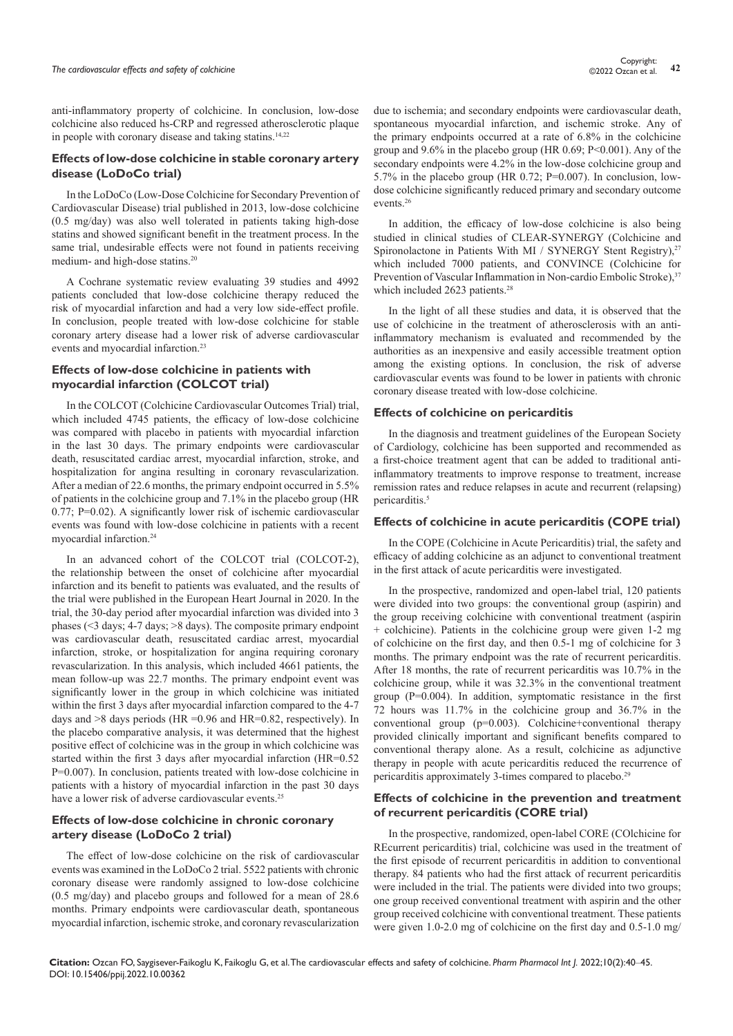anti-inflammatory property of colchicine. In conclusion, low-dose colchicine also reduced hs-CRP and regressed atherosclerotic plaque in people with coronary disease and taking statins.<sup>14,22</sup>

#### **Effects of low-dose colchicine in stable coronary artery disease (LoDoCo trial)**

In the LoDoCo (Low-Dose Colchicine for Secondary Prevention of Cardiovascular Disease) trial published in 2013, low-dose colchicine (0.5 mg/day) was also well tolerated in patients taking high-dose statins and showed significant benefit in the treatment process. In the same trial, undesirable effects were not found in patients receiving medium- and high-dose statins.20

A Cochrane systematic review evaluating 39 studies and 4992 patients concluded that low-dose colchicine therapy reduced the risk of myocardial infarction and had a very low side-effect profile. In conclusion, people treated with low-dose colchicine for stable coronary artery disease had a lower risk of adverse cardiovascular events and myocardial infarction.23

# **Effects of low-dose colchicine in patients with myocardial infarction (COLCOT trial)**

In the COLCOT (Colchicine Cardiovascular Outcomes Trial) trial, which included 4745 patients, the efficacy of low-dose colchicine was compared with placebo in patients with myocardial infarction in the last 30 days. The primary endpoints were cardiovascular death, resuscitated cardiac arrest, myocardial infarction, stroke, and hospitalization for angina resulting in coronary revascularization. After a median of 22.6 months, the primary endpoint occurred in 5.5% of patients in the colchicine group and 7.1% in the placebo group (HR 0.77; P=0.02). A significantly lower risk of ischemic cardiovascular events was found with low-dose colchicine in patients with a recent myocardial infarction.24

In an advanced cohort of the COLCOT trial (COLCOT-2), the relationship between the onset of colchicine after myocardial infarction and its benefit to patients was evaluated, and the results of the trial were published in the European Heart Journal in 2020. In the trial, the 30-day period after myocardial infarction was divided into 3 phases (<3 days; 4-7 days; >8 days). The composite primary endpoint was cardiovascular death, resuscitated cardiac arrest, myocardial infarction, stroke, or hospitalization for angina requiring coronary revascularization. In this analysis, which included 4661 patients, the mean follow-up was 22.7 months. The primary endpoint event was significantly lower in the group in which colchicine was initiated within the first 3 days after myocardial infarction compared to the 4-7 days and  $>8$  days periods (HR = 0.96 and HR=0.82, respectively). In the placebo comparative analysis, it was determined that the highest positive effect of colchicine was in the group in which colchicine was started within the first 3 days after myocardial infarction (HR=0.52 P=0.007). In conclusion, patients treated with low-dose colchicine in patients with a history of myocardial infarction in the past 30 days have a lower risk of adverse cardiovascular events.25

### **Effects of low-dose colchicine in chronic coronary artery disease (LoDoCo 2 trial)**

The effect of low-dose colchicine on the risk of cardiovascular events was examined in the LoDoCo 2 trial. 5522 patients with chronic coronary disease were randomly assigned to low-dose colchicine (0.5 mg/day) and placebo groups and followed for a mean of 28.6 months. Primary endpoints were cardiovascular death, spontaneous myocardial infarction, ischemic stroke, and coronary revascularization due to ischemia; and secondary endpoints were cardiovascular death, spontaneous myocardial infarction, and ischemic stroke. Any of the primary endpoints occurred at a rate of 6.8% in the colchicine group and  $9.6\%$  in the placebo group (HR 0.69; P<0.001). Any of the secondary endpoints were 4.2% in the low-dose colchicine group and 5.7% in the placebo group (HR 0.72; P=0.007). In conclusion, lowdose colchicine significantly reduced primary and secondary outcome events.26

In addition, the efficacy of low-dose colchicine is also being studied in clinical studies of CLEAR-SYNERGY (Colchicine and Spironolactone in Patients With MI / SYNERGY Stent Registry),<sup>27</sup> which included 7000 patients, and CONVINCE (Colchicine for Prevention of Vascular Inflammation in Non-cardio Embolic Stroke),<sup>37</sup> which included 2623 patients.<sup>28</sup>

In the light of all these studies and data, it is observed that the use of colchicine in the treatment of atherosclerosis with an antiinflammatory mechanism is evaluated and recommended by the authorities as an inexpensive and easily accessible treatment option among the existing options. In conclusion, the risk of adverse cardiovascular events was found to be lower in patients with chronic coronary disease treated with low-dose colchicine.

#### **Effects of colchicine on pericarditis**

In the diagnosis and treatment guidelines of the European Society of Cardiology, colchicine has been supported and recommended as a first-choice treatment agent that can be added to traditional antiinflammatory treatments to improve response to treatment, increase remission rates and reduce relapses in acute and recurrent (relapsing) pericarditis.<sup>5</sup>

#### **Effects of colchicine in acute pericarditis (COPE trial)**

In the COPE (Colchicine in Acute Pericarditis) trial, the safety and efficacy of adding colchicine as an adjunct to conventional treatment in the first attack of acute pericarditis were investigated.

In the prospective, randomized and open-label trial, 120 patients were divided into two groups: the conventional group (aspirin) and the group receiving colchicine with conventional treatment (aspirin + colchicine). Patients in the colchicine group were given 1-2 mg of colchicine on the first day, and then 0.5-1 mg of colchicine for 3 months. The primary endpoint was the rate of recurrent pericarditis. After 18 months, the rate of recurrent pericarditis was 10.7% in the colchicine group, while it was 32.3% in the conventional treatment group (P=0.004). In addition, symptomatic resistance in the first 72 hours was 11.7% in the colchicine group and 36.7% in the conventional group (p=0.003). Colchicine+conventional therapy provided clinically important and significant benefits compared to conventional therapy alone. As a result, colchicine as adjunctive therapy in people with acute pericarditis reduced the recurrence of pericarditis approximately 3-times compared to placebo.<sup>29</sup>

#### **Effects of colchicine in the prevention and treatment of recurrent pericarditis (CORE trial)**

In the prospective, randomized, open-label CORE (COlchicine for REcurrent pericarditis) trial, colchicine was used in the treatment of the first episode of recurrent pericarditis in addition to conventional therapy. 84 patients who had the first attack of recurrent pericarditis were included in the trial. The patients were divided into two groups; one group received conventional treatment with aspirin and the other group received colchicine with conventional treatment. These patients were given 1.0-2.0 mg of colchicine on the first day and 0.5-1.0 mg/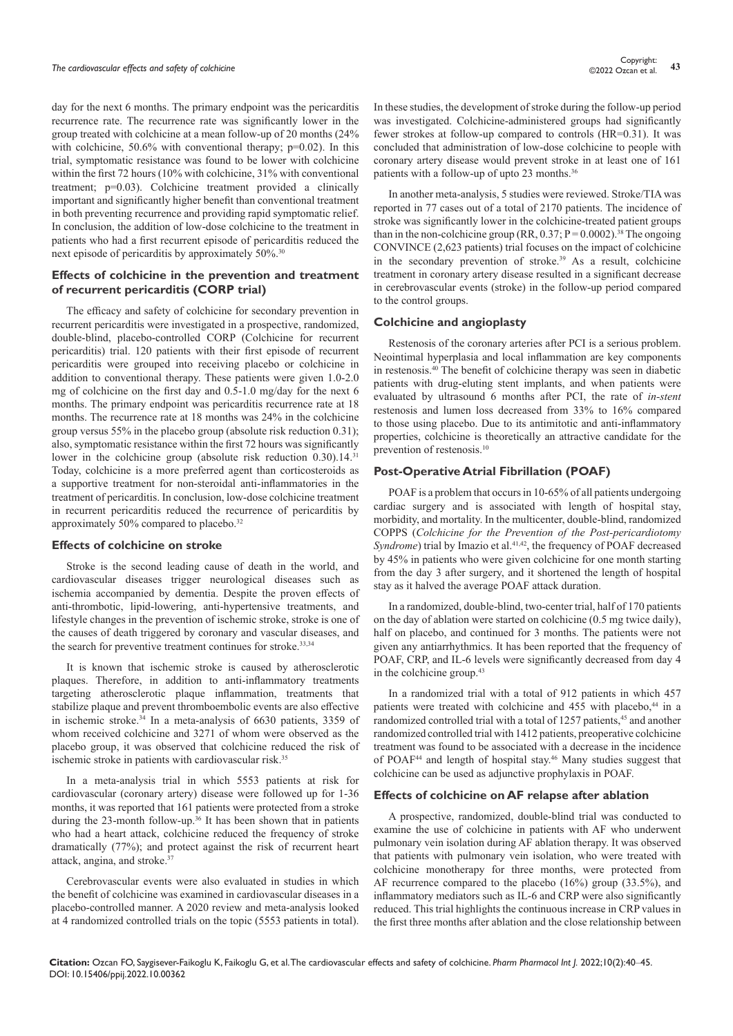day for the next 6 months. The primary endpoint was the pericarditis recurrence rate. The recurrence rate was significantly lower in the group treated with colchicine at a mean follow-up of 20 months (24% with colchicine,  $50.6\%$  with conventional therapy;  $p=0.02$ ). In this trial, symptomatic resistance was found to be lower with colchicine within the first 72 hours (10% with colchicine, 31% with conventional treatment; p=0.03). Colchicine treatment provided a clinically important and significantly higher benefit than conventional treatment in both preventing recurrence and providing rapid symptomatic relief. In conclusion, the addition of low-dose colchicine to the treatment in patients who had a first recurrent episode of pericarditis reduced the next episode of pericarditis by approximately 50%.<sup>30</sup>

### **Effects of colchicine in the prevention and treatment of recurrent pericarditis (CORP trial)**

The efficacy and safety of colchicine for secondary prevention in recurrent pericarditis were investigated in a prospective, randomized, double-blind, placebo-controlled CORP (Colchicine for recurrent pericarditis) trial. 120 patients with their first episode of recurrent pericarditis were grouped into receiving placebo or colchicine in addition to conventional therapy. These patients were given 1.0-2.0 mg of colchicine on the first day and 0.5-1.0 mg/day for the next 6 months. The primary endpoint was pericarditis recurrence rate at 18 months. The recurrence rate at 18 months was 24% in the colchicine group versus 55% in the placebo group (absolute risk reduction 0.31); also, symptomatic resistance within the first 72 hours was significantly lower in the colchicine group (absolute risk reduction 0.30).14.<sup>31</sup> Today, colchicine is a more preferred agent than corticosteroids as a supportive treatment for non-steroidal anti-inflammatories in the treatment of pericarditis. In conclusion, low-dose colchicine treatment in recurrent pericarditis reduced the recurrence of pericarditis by approximately 50% compared to placebo.32

#### **Effects of colchicine on stroke**

Stroke is the second leading cause of death in the world, and cardiovascular diseases trigger neurological diseases such as ischemia accompanied by dementia. Despite the proven effects of anti-thrombotic, lipid-lowering, anti-hypertensive treatments, and lifestyle changes in the prevention of ischemic stroke, stroke is one of the causes of death triggered by coronary and vascular diseases, and the search for preventive treatment continues for stroke.<sup>33,34</sup>

It is known that ischemic stroke is caused by atherosclerotic plaques. Therefore, in addition to anti-inflammatory treatments targeting atherosclerotic plaque inflammation, treatments that stabilize plaque and prevent thromboembolic events are also effective in ischemic stroke.34 In a meta-analysis of 6630 patients, 3359 of whom received colchicine and 3271 of whom were observed as the placebo group, it was observed that colchicine reduced the risk of ischemic stroke in patients with cardiovascular risk.<sup>35</sup>

In a meta-analysis trial in which 5553 patients at risk for cardiovascular (coronary artery) disease were followed up for 1-36 months, it was reported that 161 patients were protected from a stroke during the 23-month follow-up.<sup>36</sup> It has been shown that in patients who had a heart attack, colchicine reduced the frequency of stroke dramatically (77%); and protect against the risk of recurrent heart attack, angina, and stroke.37

Cerebrovascular events were also evaluated in studies in which the benefit of colchicine was examined in cardiovascular diseases in a placebo-controlled manner. A 2020 review and meta-analysis looked at 4 randomized controlled trials on the topic (5553 patients in total).

In these studies, the development of stroke during the follow-up period was investigated. Colchicine-administered groups had significantly fewer strokes at follow-up compared to controls (HR=0.31). It was concluded that administration of low-dose colchicine to people with coronary artery disease would prevent stroke in at least one of 161 patients with a follow-up of upto 23 months.<sup>36</sup>

In another meta-analysis, 5 studies were reviewed. Stroke/TIA was reported in 77 cases out of a total of 2170 patients. The incidence of stroke was significantly lower in the colchicine-treated patient groups than in the non-colchicine group (RR,  $0.37$ ; P = 0.0002).<sup>38</sup> The ongoing CONVINCE (2,623 patients) trial focuses on the impact of colchicine in the secondary prevention of stroke.<sup>39</sup> As a result, colchicine treatment in coronary artery disease resulted in a significant decrease in cerebrovascular events (stroke) in the follow-up period compared to the control groups.

#### **Colchicine and angioplasty**

Restenosis of the coronary arteries after PCI is a serious problem. Neointimal hyperplasia and local inflammation are key components in restenosis.40 The benefit of colchicine therapy was seen in diabetic patients with drug-eluting stent implants, and when patients were evaluated by ultrasound 6 months after PCI, the rate of *in-stent* restenosis and lumen loss decreased from 33% to 16% compared to those using placebo. Due to its antimitotic and anti-inflammatory properties, colchicine is theoretically an attractive candidate for the prevention of restenosis.<sup>10</sup>

#### **Post-Operative Atrial Fibrillation (POAF)**

POAF is a problem that occurs in 10-65% of all patients undergoing cardiac surgery and is associated with length of hospital stay, morbidity, and mortality. In the multicenter, double-blind, randomized COPPS (*Colchicine for the Prevention of the Post-pericardiotomy Syndrome*) trial by Imazio et al.<sup>41,42</sup>, the frequency of POAF decreased by 45% in patients who were given colchicine for one month starting from the day 3 after surgery, and it shortened the length of hospital stay as it halved the average POAF attack duration.

In a randomized, double-blind, two-center trial, half of 170 patients on the day of ablation were started on colchicine (0.5 mg twice daily), half on placebo, and continued for 3 months. The patients were not given any antiarrhythmics. It has been reported that the frequency of POAF, CRP, and IL-6 levels were significantly decreased from day 4 in the colchicine group.43

In a randomized trial with a total of 912 patients in which 457 patients were treated with colchicine and 455 with placebo,<sup>44</sup> in a randomized controlled trial with a total of 1257 patients,<sup>45</sup> and another randomized controlled trial with 1412 patients, preoperative colchicine treatment was found to be associated with a decrease in the incidence of POAF<sup>44</sup> and length of hospital stay.<sup>46</sup> Many studies suggest that colchicine can be used as adjunctive prophylaxis in POAF.

#### **Effects of colchicine on AF relapse after ablation**

A prospective, randomized, double-blind trial was conducted to examine the use of colchicine in patients with AF who underwent pulmonary vein isolation during AF ablation therapy. It was observed that patients with pulmonary vein isolation, who were treated with colchicine monotherapy for three months, were protected from AF recurrence compared to the placebo (16%) group (33.5%), and inflammatory mediators such as IL-6 and CRP were also significantly reduced. This trial highlights the continuous increase in CRP values in the first three months after ablation and the close relationship between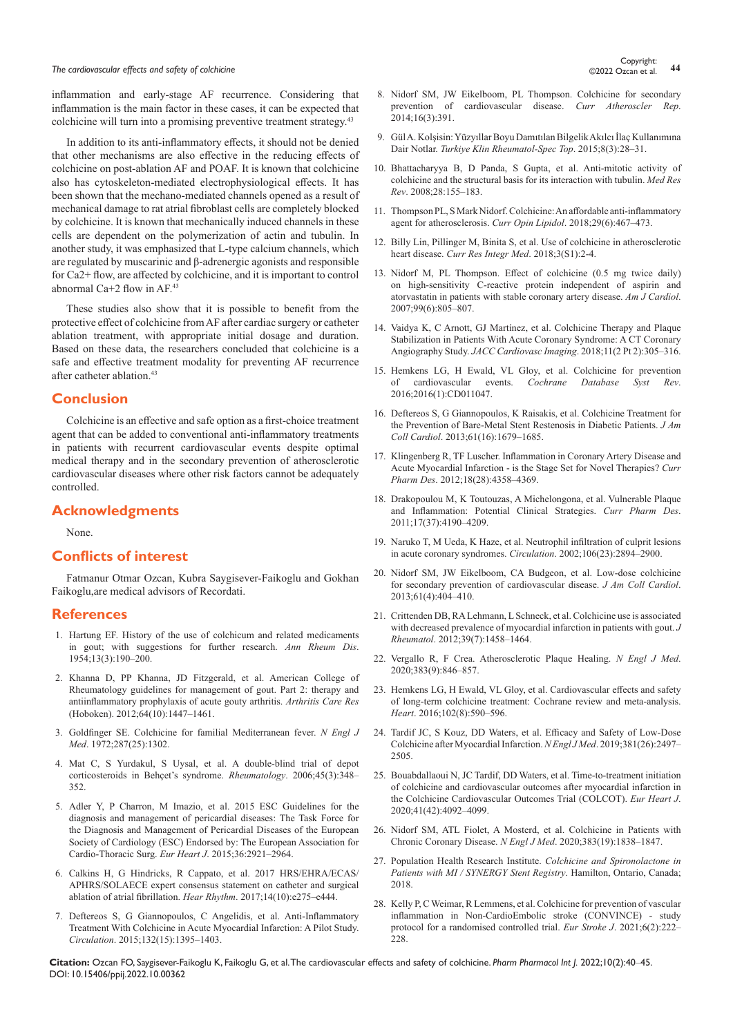# **The cardiovascular effects and safety of colchicine 144** Copyright:<br>44 **A Concept and safety of colchicine 44** COP Concept and a 44 Concept and a 44 Concept and a 44 Concept and a 44 Concept and a 44 Concept and a 44

inflammation and early-stage AF recurrence. Considering that inflammation is the main factor in these cases, it can be expected that colchicine will turn into a promising preventive treatment strategy. 43

In addition to its anti-inflammatory effects, it should not be denied that other mechanisms are also effective in the reducing effects of colchicine on post-ablation AF and POAF. It is known that colchicine also has cytoskeleton-mediated electrophysiological effects. It has been shown that the mechano-mediated channels opened as a result of mechanical damage to rat atrial fibroblast cells are completely blocked by colchicine. It is known that mechanically induced channels in these cells are dependent on the polymerization of actin and tubulin. In another study, it was emphasized that L-type calcium channels, which are regulated by muscarinic and β-adrenergic agonists and responsible for Ca2+ flow, are affected by colchicine, and it is important to control abnormal Ca+2 flow in AF.43

These studies also show that it is possible to benefit from the protective effect of colchicine from AF after cardiac surgery or catheter ablation treatment, with appropriate initial dosage and duration. Based on these data, the researchers concluded that colchicine is a safe and effective treatment modality for preventing AF recurrence after catheter ablation.43

# **Conclusion**

Colchicine is an effective and safe option as a first-choice treatment agent that can be added to conventional anti-inflammatory treatments in patients with recurrent cardiovascular events despite optimal medical therapy and in the secondary prevention of atherosclerotic cardiovascular diseases where other risk factors cannot be adequately controlled.

#### **Acknowledgments**

None.

#### **Conflicts of interest**

Fatmanur Otmar Ozcan, Kubra Saygisever-Faikoglu and Gokhan Faikoglu,are medical advisors of Recordati.

#### **References**

- 1. [Hartung EF. History of the use of colchicum and related medicaments](https://pubmed.ncbi.nlm.nih.gov/13198053/)  [in gout; with suggestions for further research.](https://pubmed.ncbi.nlm.nih.gov/13198053/) *Ann Rheum Dis*. [1954;13\(3\):190–200.](https://pubmed.ncbi.nlm.nih.gov/13198053/)
- 2. [Khanna D, PP Khanna, JD Fitzgerald, et al. American College of](https://pubmed.ncbi.nlm.nih.gov/23024029/)  [Rheumatology guidelines for management of gout. Part 2: therapy and](https://pubmed.ncbi.nlm.nih.gov/23024029/)  [antiinflammatory prophylaxis of acute gouty arthritis.](https://pubmed.ncbi.nlm.nih.gov/23024029/) *Arthritis Care Res* [\(Hoboken\). 2012;64\(10\):1447–1461.](https://pubmed.ncbi.nlm.nih.gov/23024029/)
- 3. [Goldfinger SE. Colchicine for familial Mediterranean fever.](https://pubmed.ncbi.nlm.nih.gov/4636899/) *N Engl J Med*[. 1972;287\(25\):1302.](https://pubmed.ncbi.nlm.nih.gov/4636899/)
- 4. [Mat C, S Yurdakul, S Uysal, et al. A double-blind trial of depot](https://pubmed.ncbi.nlm.nih.gov/16263779/)  [corticosteroids in Behçet's syndrome.](https://pubmed.ncbi.nlm.nih.gov/16263779/) *Rheumatology*. 2006;45(3):348– [352.](https://pubmed.ncbi.nlm.nih.gov/16263779/)
- 5. [Adler Y, P Charron, M Imazio, et al. 2015 ESC Guidelines for the](https://pubmed.ncbi.nlm.nih.gov/26320112/)  [diagnosis and management of pericardial diseases: The Task Force for](https://pubmed.ncbi.nlm.nih.gov/26320112/)  [the Diagnosis and Management of Pericardial Diseases of the European](https://pubmed.ncbi.nlm.nih.gov/26320112/)  [Society of Cardiology \(ESC\) Endorsed by: The European Association for](https://pubmed.ncbi.nlm.nih.gov/26320112/)  [Cardio-Thoracic Surg.](https://pubmed.ncbi.nlm.nih.gov/26320112/) *Eur Heart J*. 2015;36:2921–2964.
- 6. [Calkins H, G Hindricks, R Cappato, et al. 2017 HRS/EHRA/ECAS/](https://pubmed.ncbi.nlm.nih.gov/28506916/) [APHRS/SOLAECE expert consensus statement on catheter and surgical](https://pubmed.ncbi.nlm.nih.gov/28506916/)  [ablation of atrial fibrillation.](https://pubmed.ncbi.nlm.nih.gov/28506916/) *Hear Rhythm*. 2017;14(10):e275–e444.
- 7. [Deftereos S, G Giannopoulos, C Angelidis, et al. Anti-Inflammatory](https://pubmed.ncbi.nlm.nih.gov/26265659/)  [Treatment With Colchicine in Acute Myocardial Infarction: A Pilot Study.](https://pubmed.ncbi.nlm.nih.gov/26265659/)  *Circulation*[. 2015;132\(15\):1395–1403.](https://pubmed.ncbi.nlm.nih.gov/26265659/)
- 8. [Nidorf SM, JW Eikelboom, PL Thompson. Colchicine for secondary](https://pubmed.ncbi.nlm.nih.gov/24425060)  [prevention of cardiovascular disease.](https://pubmed.ncbi.nlm.nih.gov/24425060) *Curr Atheroscler Rep*. [2014;16\(3\):391.](https://pubmed.ncbi.nlm.nih.gov/24425060)
- 9. [Gül A. Kolşisin: Yüzyıllar Boyu Damıtılan Bilgelik Akılcı İlaç Kullanımına](https://www.turkiyeklinikleri.com/article/tr-kolsisin-yuzyillar-boyu-damitilan-bilgelik-akilci-ilac-kullanimina-dair-notlar-73301.html)  Dair Notlar. *[Turkiye Klin Rheumatol-Spec Top](https://www.turkiyeklinikleri.com/article/tr-kolsisin-yuzyillar-boyu-damitilan-bilgelik-akilci-ilac-kullanimina-dair-notlar-73301.html)*. 2015;8(3):28–31.
- 10. [Bhattacharyya B, D Panda, S Gupta, et al. Anti-mitotic activity of](https://pubmed.ncbi.nlm.nih.gov/17464966/)  [colchicine and the structural basis for its interaction with tubulin.](https://pubmed.ncbi.nlm.nih.gov/17464966/) *Med Res Rev*[. 2008;28:155–183.](https://pubmed.ncbi.nlm.nih.gov/17464966/)
- 11. [Thompson PL, S Mark Nidorf. Colchicine: An affordable anti-inflammatory](https://pubmed.ncbi.nlm.nih.gov/30320614/)  [agent for atherosclerosis.](https://pubmed.ncbi.nlm.nih.gov/30320614/) *Curr Opin Lipidol*. 2018;29(6):467–473.
- 12. [Billy Lin, Pillinger M, Binita S, et al. Use of colchicine in atherosclerotic](https://www.pulsus.com/scholarly-articles/use-of-colchicine-in-atherosclerotic-heart-disease.pdf)  heart disease. *[Curr Res Integr Med](https://www.pulsus.com/scholarly-articles/use-of-colchicine-in-atherosclerotic-heart-disease.pdf)*. 2018;3(S1):2-4.
- 13. [Nidorf M, PL Thompson. Effect of colchicine \(0.5 mg twice daily\)](https://pubmed.ncbi.nlm.nih.gov/17350370/)  [on high-sensitivity C-reactive protein independent of aspirin and](https://pubmed.ncbi.nlm.nih.gov/17350370/)  [atorvastatin in patients with stable coronary artery disease.](https://pubmed.ncbi.nlm.nih.gov/17350370/) *Am J Cardiol*. [2007;99\(6\):805–807.](https://pubmed.ncbi.nlm.nih.gov/17350370/)
- 14. [Vaidya K, C Arnott, GJ Martínez, et al. Colchicine Therapy and Plaque](https://pubmed.ncbi.nlm.nih.gov/29055633/)  [Stabilization in Patients With Acute Coronary Syndrome: A CT Coronary](https://pubmed.ncbi.nlm.nih.gov/29055633/)  Angiography Study. *[JACC Cardiovasc Imaging](https://pubmed.ncbi.nlm.nih.gov/29055633/)*. 2018;11(2 Pt 2):305–316.
- 15. [Hemkens LG, H Ewald, VL Gloy, et al. Colchicine for prevention](https://pubmed.ncbi.nlm.nih.gov/26816301/)  of cardiovascular events. *[Cochrane Database Syst Rev](https://pubmed.ncbi.nlm.nih.gov/26816301/)*. [2016;2016\(1\):CD011047.](https://pubmed.ncbi.nlm.nih.gov/26816301/)
- 16. [Deftereos S, G Giannopoulos, K Raisakis, et al. Colchicine Treatment for](https://pubmed.ncbi.nlm.nih.gov/23500260/)  [the Prevention of Bare-Metal Stent Restenosis in Diabetic Patients.](https://pubmed.ncbi.nlm.nih.gov/23500260/) *J Am Coll Cardiol*[. 2013;61\(16\):1679–1685.](https://pubmed.ncbi.nlm.nih.gov/23500260/)
- 17. [Klingenberg R, TF Luscher. Inflammation in Coronary Artery Disease and](https://pubmed.ncbi.nlm.nih.gov/22390645/)  [Acute Myocardial Infarction - is the Stage Set for Novel Therapies?](https://pubmed.ncbi.nlm.nih.gov/22390645/) *Curr Pharm Des*[. 2012;18\(28\):4358–4369.](https://pubmed.ncbi.nlm.nih.gov/22390645/)
- 18. [Drakopoulou M, K Toutouzas, A Michelongona, et al. Vulnerable Plaque](https://pubmed.ncbi.nlm.nih.gov/22204378/)  [and Inflammation: Potential Clinical Strategies.](https://pubmed.ncbi.nlm.nih.gov/22204378/) *Curr Pharm Des*. [2011;17\(37\):4190–4209.](https://pubmed.ncbi.nlm.nih.gov/22204378/)
- 19. [Naruko T, M Ueda, K Haze, et al. Neutrophil infiltration of culprit lesions](https://pubmed.ncbi.nlm.nih.gov/12460868/)  [in acute coronary syndromes.](https://pubmed.ncbi.nlm.nih.gov/12460868/) *Circulation*. 2002;106(23):2894–2900.
- 20. [Nidorf SM, JW Eikelboom, CA Budgeon, et al. Low-dose colchicine](https://pubmed.ncbi.nlm.nih.gov/23265346/)  [for secondary prevention of cardiovascular disease.](https://pubmed.ncbi.nlm.nih.gov/23265346/) *J Am Coll Cardiol*. [2013;61\(4\):404–410.](https://pubmed.ncbi.nlm.nih.gov/23265346/)
- 21. [Crittenden DB, RA Lehmann, L Schneck, et al. Colchicine use is associated](https://pubmed.ncbi.nlm.nih.gov/22660810/)  [with decreased prevalence of myocardial infarction in patients with gout.](https://pubmed.ncbi.nlm.nih.gov/22660810/) *J Rheumatol*[. 2012;39\(7\):1458–1464.](https://pubmed.ncbi.nlm.nih.gov/22660810/)
- 22. [Vergallo R, F Crea. Atherosclerotic Plaque Healing.](https://pubmed.ncbi.nlm.nih.gov/32846063/) *N Engl J Med*. [2020;383\(9\):846–857.](https://pubmed.ncbi.nlm.nih.gov/32846063/)
- 23. [Hemkens LG, H Ewald, VL Gloy, et al. Cardiovascular effects and safety](https://pubmed.ncbi.nlm.nih.gov/26830663/)  [of long-term colchicine treatment: Cochrane review and meta-analysis.](https://pubmed.ncbi.nlm.nih.gov/26830663/)  *Heart*[. 2016;102\(8\):590–596.](https://pubmed.ncbi.nlm.nih.gov/26830663/)
- 24. [Tardif JC, S Kouz, DD Waters, et al. Efficacy and Safety of Low-Dose](https://pubmed.ncbi.nlm.nih.gov/31733140/)  [Colchicine after Myocardial Infarction.](https://pubmed.ncbi.nlm.nih.gov/31733140/) *N Engl J Med*. 2019;381(26):2497– [2505.](https://pubmed.ncbi.nlm.nih.gov/31733140/)
- 25. [Bouabdallaoui N, JC Tardif, DD Waters, et al. Time-to-treatment initiation](https://pubmed.ncbi.nlm.nih.gov/32860034/)  [of colchicine and cardiovascular outcomes after myocardial infarction in](https://pubmed.ncbi.nlm.nih.gov/32860034/)  [the Colchicine Cardiovascular Outcomes Trial \(COLCOT\).](https://pubmed.ncbi.nlm.nih.gov/32860034/) *Eur Heart J*. [2020;41\(42\):4092–4099.](https://pubmed.ncbi.nlm.nih.gov/32860034/)
- 26. [Nidorf SM, ATL Fiolet, A Mosterd, et al. Colchicine in Patients with](https://pubmed.ncbi.nlm.nih.gov/32865380/)  [Chronic Coronary Disease.](https://pubmed.ncbi.nlm.nih.gov/32865380/) *N Engl J Med*. 2020;383(19):1838–1847.
- 27. [Population Health Research Institute.](https://clinicaltrials.gov/ct2/show/NCT03048825) *Colchicine and Spironolactone in [Patients with MI / SYNERGY Stent Registry](https://clinicaltrials.gov/ct2/show/NCT03048825)*. Hamilton, Ontario, Canada; [2018.](https://clinicaltrials.gov/ct2/show/NCT03048825)
- 28. [Kelly P, C Weimar, R Lemmens, et al. Colchicine for prevention of vascular](https://pubmed.ncbi.nlm.nih.gov/34414298/)  [inflammation in Non-CardioEmbolic stroke \(CONVINCE\) - study](https://pubmed.ncbi.nlm.nih.gov/34414298/)  [protocol for a randomised controlled trial.](https://pubmed.ncbi.nlm.nih.gov/34414298/) *Eur Stroke J*. 2021;6(2):222– [228.](https://pubmed.ncbi.nlm.nih.gov/34414298/)

**Citation:** Ozcan FO, Saygisever-Faikoglu K, Faikoglu G, et al. The cardiovascular effects and safety of colchicine. *Pharm Pharmacol Int J.* 2022;10(2):40‒45. DOI: [10.15406/ppij.2022.10.00362](https://doi.org/10.15406/ppij.2022.10.00362)